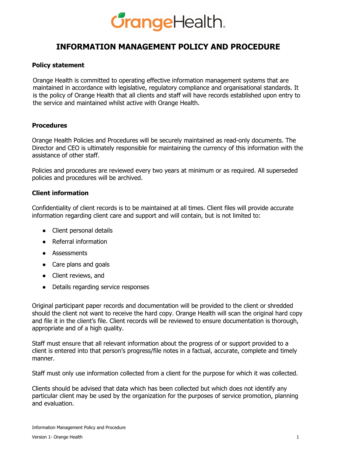## **GrangeHealth.**

### **INFORMATION MANAGEMENT POLICY AND PROCEDURE**

#### **Policy statement**

Orange Health is committed to operating effective information management systems that are maintained in accordance with legislative, regulatory compliance and organisational standards. It is the policy of Orange Health that all clients and staff will have records established upon entry to the service and maintained whilst active with Orange Health.

#### **Procedures**

Orange Health Policies and Procedures will be securely maintained as read-only documents. The Director and CEO is ultimately responsible for maintaining the currency of this information with the assistance of other staff.

Policies and procedures are reviewed every two years at minimum or as required. All superseded policies and procedures will be archived.

#### **Client information**

Confidentiality of client records is to be maintained at all times. Client files will provide accurate information regarding client care and support and will contain, but is not limited to:

- Client personal details
- Referral information
- Assessments
- Care plans and goals
- Client reviews, and
- Details regarding service responses

Original participant paper records and documentation will be provided to the client or shredded should the client not want to receive the hard copy. Orange Health will scan the original hard copy and file it in the client's file. Client records will be reviewed to ensure documentation is thorough, appropriate and of a high quality.

Staff must ensure that all relevant information about the progress of or support provided to a client is entered into that person's progress/file notes in a factual, accurate, complete and timely manner.

Staff must only use information collected from a client for the purpose for which it was collected.

Clients should be advised that data which has been collected but which does not identify any particular client may be used by the organization for the purposes of service promotion, planning and evaluation.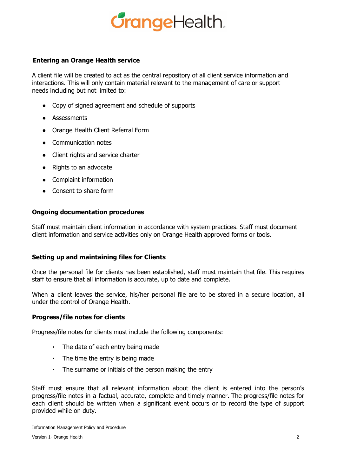## **GrangeHealth.**

#### **Entering an Orange Health service**

A client file will be created to act as the central repository of all client service information and interactions. This will only contain material relevant to the management of care or support needs including but not limited to:

- Copy of signed agreement and schedule of supports
- Assessments
- Orange Health Client Referral Form
- Communication notes
- Client rights and service charter
- Rights to an advocate
- Complaint information
- Consent to share form

#### **Ongoing documentation procedures**

Staff must maintain client information in accordance with system practices. Staff must document client information and service activities only on Orange Health approved forms or tools.

#### **Setting up and maintaining files for Clients**

Once the personal file for clients has been established, staff must maintain that file. This requires staff to ensure that all information is accurate, up to date and complete.

When a client leaves the service, his/her personal file are to be stored in a secure location, all under the control of Orange Health.

#### **Progress/file notes for clients**

Progress/file notes for clients must include the following components:

- The date of each entry being made
- The time the entry is being made
- The surname or initials of the person making the entry

Staff must ensure that all relevant information about the client is entered into the person's progress/file notes in a factual, accurate, complete and timely manner. The progress/file notes for each client should be written when a significant event occurs or to record the type of support provided while on duty.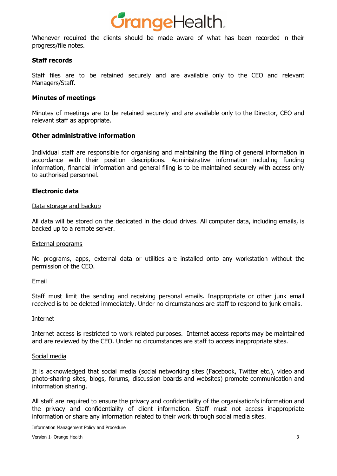

Whenever required the clients should be made aware of what has been recorded in their progress/file notes.

#### **Staff records**

Staff files are to be retained securely and are available only to the CEO and relevant Managers/Staff.

#### **Minutes of meetings**

Minutes of meetings are to be retained securely and are available only to the Director, CEO and relevant staff as appropriate.

#### **Other administrative information**

Individual staff are responsible for organising and maintaining the filing of general information in accordance with their position descriptions. Administrative information including funding information, financial information and general filing is to be maintained securely with access only to authorised personnel.

#### **Electronic data**

#### Data storage and backup

All data will be stored on the dedicated in the cloud drives. All computer data, including emails, is backed up to a remote server.

#### External programs

No programs, apps, external data or utilities are installed onto any workstation without the permission of the CEO.

#### **Email**

Staff must limit the sending and receiving personal emails. Inappropriate or other junk email received is to be deleted immediately. Under no circumstances are staff to respond to junk emails.

#### Internet

Internet access is restricted to work related purposes. Internet access reports may be maintained and are reviewed by the CEO. Under no circumstances are staff to access inappropriate sites.

#### Social media

It is acknowledged that social media (social networking sites (Facebook, Twitter etc.), video and photo-sharing sites, blogs, forums, discussion boards and websites) promote communication and information sharing.

All staff are required to ensure the privacy and confidentiality of the organisation's information and the privacy and confidentiality of client information. Staff must not access inappropriate information or share any information related to their work through social media sites.

Information Management Policy and Procedure